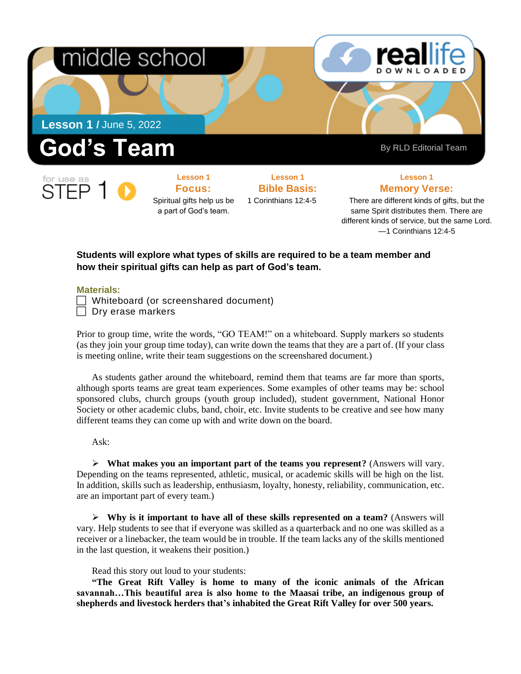

**Lesson 1 Focus:**  Spiritual gifts help us be a part of God's team.

**Lesson 1 Bible Basis:** 1 Corinthians 12:4-5

## **Lesson 1**

**Memory Verse:**

There are different kinds of gifts, but the same Spirit distributes them. There are different kinds of service, but the same Lord. —1 Corinthians 12:4-5

## **Students will explore what types of skills are required to be a team member and how their spiritual gifts can help as part of God's team.**

## **Materials:**

 $\Box$  Whiteboard (or screenshared document)

 $\Box$  Dry erase markers

Prior to group time, write the words, "GO TEAM!" on a whiteboard. Supply markers so students (as they join your group time today), can write down the teams that they are a part of. (If your class is meeting online, write their team suggestions on the screenshared document.)

As students gather around the whiteboard, remind them that teams are far more than sports, although sports teams are great team experiences. Some examples of other teams may be: school sponsored clubs, church groups (youth group included), student government, National Honor Society or other academic clubs, band, choir, etc. Invite students to be creative and see how many different teams they can come up with and write down on the board.

Ask:

➢ **What makes you an important part of the teams you represent?** (Answers will vary. Depending on the teams represented, athletic, musical, or academic skills will be high on the list. In addition, skills such as leadership, enthusiasm, loyalty, honesty, reliability, communication, etc. are an important part of every team.)

➢ **Why is it important to have all of these skills represented on a team?** (Answers will vary. Help students to see that if everyone was skilled as a quarterback and no one was skilled as a receiver or a linebacker, the team would be in trouble. If the team lacks any of the skills mentioned in the last question, it weakens their position.)

Read this story out loud to your students:

**"The Great Rift Valley is home to many of the iconic animals of the African savannah…This beautiful area is also home to the Maasai tribe, an indigenous group of shepherds and livestock herders that's inhabited the Great Rift Valley for over 500 years.**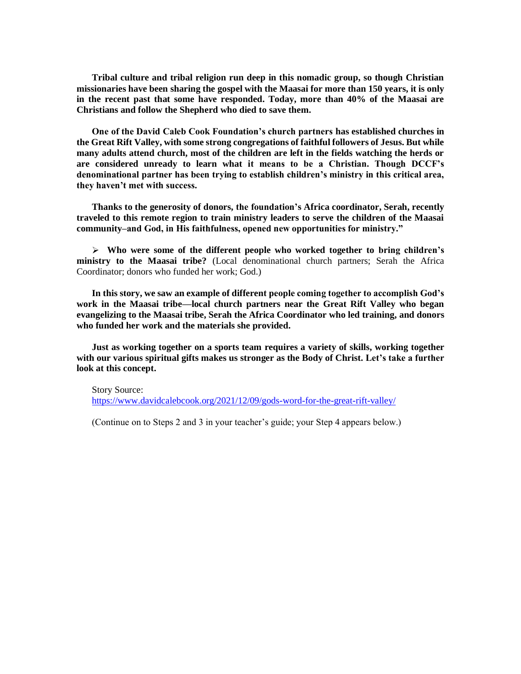**Tribal culture and tribal religion run deep in this nomadic group, so though Christian missionaries have been sharing the gospel with the Maasai for more than 150 years, it is only in the recent past that some have responded. Today, more than 40% of the Maasai are Christians and follow the Shepherd who died to save them.**

**One of the David Caleb Cook Foundation's church partners has established churches in the Great Rift Valley, with some strong congregations of faithful followers of Jesus. But while many adults attend church, most of the children are left in the fields watching the herds or are considered unready to learn what it means to be a Christian. Though DCCF's denominational partner has been trying to establish children's ministry in this critical area, they haven't met with success.**

**Thanks to the generosity of donors, the foundation's Africa coordinator, Serah, recently traveled to this remote region to train ministry leaders to serve the children of the Maasai community–and God, in His faithfulness, opened new opportunities for ministry."**

➢ **Who were some of the different people who worked together to bring children's ministry to the Maasai tribe?** (Local denominational church partners; Serah the Africa Coordinator; donors who funded her work; God.)

**In this story, we saw an example of different people coming together to accomplish God's work in the Maasai tribe—local church partners near the Great Rift Valley who began evangelizing to the Maasai tribe, Serah the Africa Coordinator who led training, and donors who funded her work and the materials she provided.** 

**Just as working together on a sports team requires a variety of skills, working together with our various spiritual gifts makes us stronger as the Body of Christ. Let's take a further look at this concept.**

Story Source: <https://www.davidcalebcook.org/2021/12/09/gods-word-for-the-great-rift-valley/>

(Continue on to Steps 2 and 3 in your teacher's guide; your Step 4 appears below.)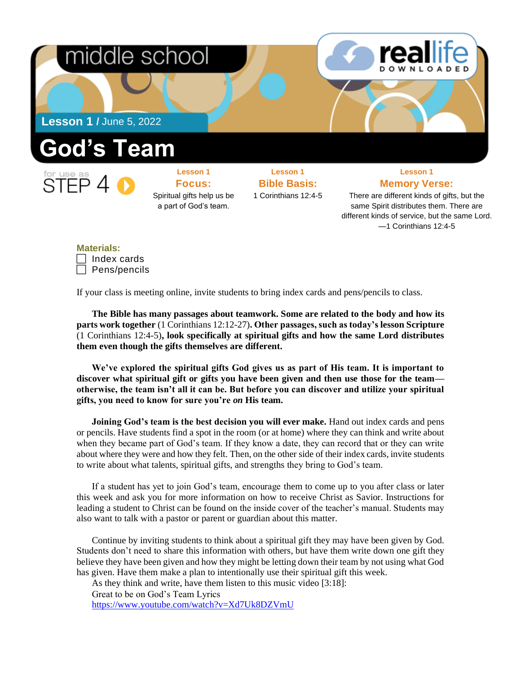

—1 Corinthians 12:4-5

**Materials:** Index cards Pens/pencils

If your class is meeting online, invite students to bring index cards and pens/pencils to class.

**The Bible has many passages about teamwork. Some are related to the body and how its parts work together** (1 Corinthians 12:12-27)**. Other passages, such as today's lesson Scripture**  (1 Corinthians 12:4-5)**, look specifically at spiritual gifts and how the same Lord distributes them even though the gifts themselves are different.**

**We've explored the spiritual gifts God gives us as part of His team. It is important to discover what spiritual gift or gifts you have been given and then use those for the team otherwise, the team isn't all it can be. But before you can discover and utilize your spiritual gifts, you need to know for sure you're** *on* **His team.** 

**Joining God's team is the best decision you will ever make.** Hand out index cards and pens or pencils. Have students find a spot in the room (or at home) where they can think and write about when they became part of God's team. If they know a date, they can record that or they can write about where they were and how they felt. Then, on the other side of their index cards, invite students to write about what talents, spiritual gifts, and strengths they bring to God's team.

If a student has yet to join God's team, encourage them to come up to you after class or later this week and ask you for more information on how to receive Christ as Savior. Instructions for leading a student to Christ can be found on the inside cover of the teacher's manual. Students may also want to talk with a pastor or parent or guardian about this matter.

Continue by inviting students to think about a spiritual gift they may have been given by God. Students don't need to share this information with others, but have them write down one gift they believe they have been given and how they might be letting down their team by not using what God has given. Have them make a plan to intentionally use their spiritual gift this week.

As they think and write, have them listen to this music video [3:18]:

Great to be on God's Team Lyrics

<https://www.youtube.com/watch?v=Xd7Uk8DZVmU>